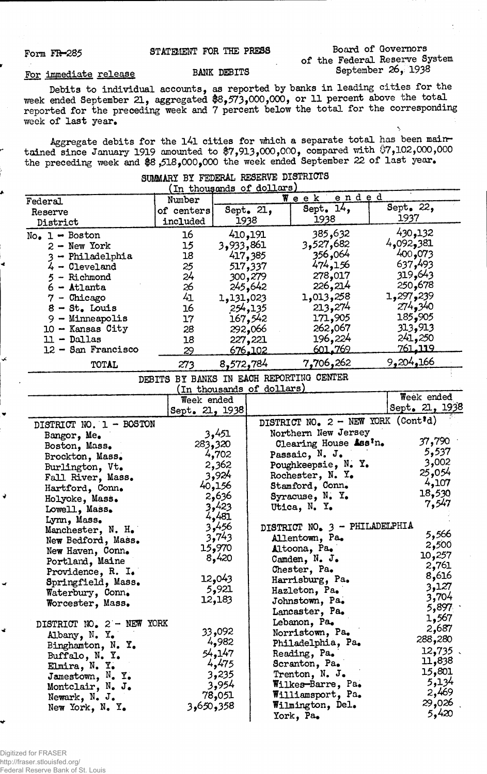### Form FR-285

## STATEMENT FOR THE PRESS

### Board of Governors of the Federal Reserve System September 26, 1938

# For immediate release

#### BANK DEBITS

Debits to individual accounts, as reported by banks in leading cities for the week ended September 21, aggregated \$8,573,000,000, or 11 percent above the total reported for the preceding week and 7 percent below the total for the corresponding week of last year.

Aggregate debits for the l4l cities for which a separate total has been mainrtained since January 1919 amounted to \$7,913,000,000, compared with \$7,102,000,000 the preceding week and  $\$8$  ,518,000,000 the week ended September 22 of last year.

|                            |                |               | (In thousands of dollars) |                                          |  |                |         |
|----------------------------|----------------|---------------|---------------------------|------------------------------------------|--|----------------|---------|
| Federal                    | Number         | ended<br>Week |                           |                                          |  |                |         |
| Reserve                    | of centers     | Sept. 21,     |                           | Sept. $14,$                              |  | Sept. 22,      |         |
| District                   | included       |               | 1938                      | 1938                                     |  | 1937           |         |
| $No_{\bullet}$ 1 - Boston  | 16             |               | 410,191                   | 385,632                                  |  | 430,132        |         |
| $2 - New York$             | 15             | 3,933,861     |                           | 3,527,682                                |  | 4,092,381      |         |
| - Philadelphia             | 18             |               | 417,385                   | 356,064                                  |  | 400,073        |         |
| $4 -$ Cleveland            | 25             |               | 517,337                   | 474,156                                  |  | 637,493        |         |
| - Richmond                 | 24             |               | 300,279                   | 278,017                                  |  | 319,643        |         |
|                            | 26             |               |                           | 226,214                                  |  | 250,678        |         |
| $6 -$ Atlanta              | 41             |               | 245,642                   | 1,013,258                                |  | 1,297,239      |         |
| $7$ - Chicago              |                | 1,131,023     |                           |                                          |  | 274,340        |         |
| $8 - St.$ Louis            | 16             |               | 254,135                   | 213,274                                  |  | 185,905        |         |
| 9 - Minneapolis            | 17             |               | 167,542                   | 171,905                                  |  |                |         |
| $10 -$ Kansas City         | 28             |               | 292,066                   | 262,067                                  |  | 313,913        |         |
| $11 - Dallas$              | 18             |               | 227,221                   | 196,224                                  |  | 241,250        |         |
| $12 -$ San Francisco       | 29             |               | <u>676,102</u>            | 601.769                                  |  | <u>761.119</u> |         |
| TOTAL                      | 273            | 8,572,784     |                           | 7,706,262                                |  | 9,204,166      |         |
|                            |                |               |                           | DEBITS BY BANKS IN EACH REPORTING CENTER |  |                |         |
|                            |                |               | (In thousands of dollars) |                                          |  |                |         |
|                            | Week ended     |               |                           |                                          |  | Week ended     |         |
|                            | Sept. 21, 1938 |               |                           |                                          |  | Sept. 21, 1938 |         |
| DISTRICT NO. 1 - BOSTON    |                |               |                           | DISTRICT NO. 2 - NEW YORK (Cont'd)       |  |                |         |
| Bangor, Me.                |                | 3,451         |                           | Northern New Jersey                      |  |                |         |
| Boston, Mass.              |                | 283,320       |                           | Clearing House Ass <sup>I</sup> n.       |  | 37,790         |         |
| Brockton, Mass.            |                | 4,702         |                           | Passaic, N. J.                           |  | 5,537          |         |
| Burlington, Vt.            |                | 2,362         |                           | Poughkeepsie, N. Y.                      |  | 3,002          |         |
| Fall River, Mass.          |                | 3,924         |                           | Rochester, N. Y.                         |  | 25,054         |         |
| Hartford, Conn.            |                | 40,156        |                           | Stamford, Conn.                          |  | 4,107          |         |
| Holyoke, Mass.             |                | 2,636         |                           | Syracuse, $N$ . $Y$ .                    |  | 18,530         |         |
|                            |                | 3,423         |                           | Utica, N. Y.                             |  | 7,547          |         |
| Lowell, Mass.              |                | 4,481         |                           |                                          |  |                |         |
| Lynn, Mass.                |                | 3,456         |                           | DISTRICT NO. 3 - PHILADELPHIA            |  |                |         |
| Manchester, N. H.          |                | 3,743         |                           | Allentown, Pa.                           |  | 5,566          |         |
| New Bedford, Mass.         |                | 15,970        |                           | Altoona, Pa.                             |  | 2,500          |         |
| New Haven, Conn.           |                | 8,420         |                           | Camden, N. J.                            |  | 10,257         |         |
| Portland, Maine            |                |               |                           |                                          |  | 2,761          |         |
| Providence, R. I.          |                | 12,043        |                           | Chester, Pa.                             |  | 8,616          |         |
| Springfield, Mass.         |                | 5,921         |                           | Harrisburg, Pa.                          |  |                | 3,127   |
| Waterbury, Conn.           |                |               |                           | Hazleton, Pa.                            |  |                | 3,704   |
| Worcester, Mass.           |                | 12,183        |                           | Johnstown, Pa.                           |  |                | 5,897   |
|                            |                |               |                           | Lancaster, Pa.                           |  |                | 1,567   |
| DISTRICT NO. 2 - NEW YORK  |                |               |                           | Lebanon, Pa.                             |  |                | 2,687   |
| Albany, N. Y.              |                | 33,092        |                           | Norristown, Pa.                          |  | 288,280        |         |
| Binghamton, N. Y.          |                | 4,982         |                           | Philadelphia, Pa.                        |  |                |         |
| Buffalo, N. Y.             |                | 54,147        |                           | Reading, Pa.                             |  |                | 12,735. |
| Elmira, N. Y.              |                | 4,475         |                           | Scranton, Pa.                            |  | 11,838         |         |
| Jamestown, N. Y.           |                | 3,235         |                           | Trenton, N. J.                           |  | 15,801         |         |
| Montclair, N. J.           |                | 3,954         |                           | Wilkes-Barre, Pa.                        |  |                | 5,134   |
| Newark, N. J.              |                | 78,051        |                           | Williamsport, Pa.                        |  |                | 2,469   |
| New York, $N_{\bullet}$ Y. | 358و50و3       |               |                           | Wilmington, Del.                         |  | 29,026         |         |
|                            |                |               |                           | York, Pa.                                |  |                | 5,420   |

# SUMMARY BY FEDERAL RESERVE DISTRICTS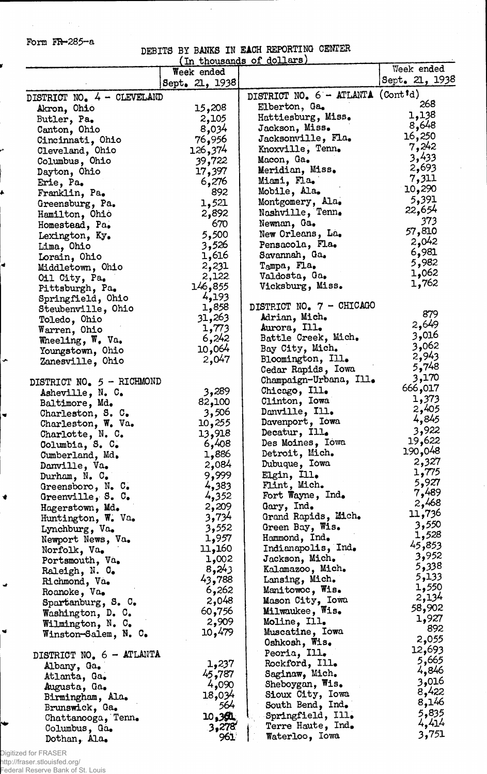Form  $FR-285-a$ 

 $\mathcal{L}_{\text{max}}$  and  $\mathcal{L}_{\text{max}}$  . We have

ť

 $\blacktriangleleft$ 

 $\bullet$ 

 $\blacksquare$ 

 $\blacklozenge$ 

 $\frac{1}{2}$ 

 $\bullet$ 

# DEBITS BY BANKS IN EACH REPORTING CENTER (In thousands of dollars)\_\_\_\_\_\_\_

 $\overline{a}$ 

|                                          | THE diposition of the<br>Week ended |                                   | Week ended      |
|------------------------------------------|-------------------------------------|-----------------------------------|-----------------|
|                                          | Sept. 21, 1938                      |                                   | Sept. 21, 1938  |
|                                          |                                     | DISTRICT NO. 6 - ATLANTA (Contid) |                 |
| DISTRICT NO. 4 - CLEVELAND               |                                     | Elberton, Ga.                     | 268             |
| Akron, Ohio                              | 15,208                              | Hattiesburg, Miss.                | 1,138           |
| Butler, Pa.                              | 2,105                               | Jackson, Miss.                    | 8,648           |
| Canton, Ohio                             | 8,034                               | Jacksonville, Fla.                | 16,250          |
| Cincinnati, Ohio                         | 76,956                              | Knoxville, Tenn.                  | 7,242           |
| Cleveland, Ohio                          | 126,374                             | Macon, Ga.                        | 3,433           |
| Columbus, Ohio                           | 39,722                              | Meridian, Miss.                   | 2,693           |
| Dayton, Ohio                             | 17,397<br>6,276                     | Miami, Fla.                       | 7,311           |
| Erie, Pa.                                | 892                                 | Mobile, Ala.                      | 10,290          |
| Franklin, Pa.                            | 1,521                               | Montgomery, Ala.                  | 5,391           |
| Greensburg, Pa.                          | 2,892                               | Nashville, Tenn.                  | 22,654          |
| Hamilton, Ohio                           | 670                                 | Newnan, Ga.                       | 373             |
| Homestead, Pa.                           | 5,500                               | New Orleans, La.                  | 57,810          |
| Lexington, Ky.                           | 3,526                               | Pensacola, Fla.                   | 2,042           |
| Lima, Ohio                               | 1,616                               | Savannah, Ga.                     | 6,981           |
| Lorain, Ohio                             | 2,231                               | Tampa, Fla.                       | 5,982           |
| Middletown, Ohio                         | 2,122                               | Valdosta, Ga.                     | 1,062           |
| Oil City, Pa.                            | 146,855                             | Vicksburg, Miss.                  | 1,762           |
| Pittsburgh, Pa.<br>Springfield, Ohio     | 4,193                               |                                   |                 |
| Steubenville, Ohio                       | 1,858                               | DISTRICT NO. 7 - CHICAGO          |                 |
| Toledo, Ohio                             | 31,263                              | Adrian, Mich.                     | 879             |
| Warren, Ohio                             | 1,773                               | Aurora, Ill.                      | 2,649           |
| Wheeling, W. Va.                         | 6,242                               | Battle Creek, Mich.               | 3,016           |
| Youngstown, Ohio                         | 10,064                              | Bay City, Mich.                   | 3,062           |
| Zanesville, Ohio                         | 2,047                               | Bloomington, Ill.                 | 2,943           |
|                                          |                                     | Cedar Rapids, Iowa                | 5,748           |
| DISTRICT NO. 5 - RICHMOND                |                                     | Champaign-Urbana, Ill.            | 3,170           |
| Asheville, N. C.                         | 3,289                               | Chicago, Ill.                     | 666,017         |
| Baltimore, Md.                           | 82,100                              | Clinton, Iowa                     | 1,373           |
| Charleston, S. C.                        | 3,506                               | Danville, Ill.                    | 2,405           |
| Charleston, W. Va.                       | 10,255                              | Davenport, Iowa                   | 4,845           |
| Charlotte, N. C.                         | 13,918                              | Decatur, Ill.                     | 3,922           |
| Columbia, S. C.                          | 6,408                               | Des Moines, Iowa                  | 19,622          |
| Cumberland, Md.                          | 1,886                               | Detroit, Mich.                    | 190,048         |
| Danville, Va.                            | 2,084                               | Dubuque, Iowa                     | 2,327           |
| Durham, $N_e$ . $C_e$                    | 9,999                               | Elgin, Ill.                       | 1,775           |
| Greensboro, $N_e$ C.                     | 4,383                               | Flint, Mich.                      | 5,927           |
| Greenville, S. C.                        | 4,352                               | Fort Wayne, Ind.                  | 7,489           |
| Hagerstown, Md.                          | 2,209                               | Gary, Ind.                        | 2,468           |
| Huntington, W. Va.                       | 3,734                               | Grand Rapids, Mich.               | 11,736          |
| Lynchburg, Va.                           | 3,552                               | Green Bay, Wis.                   | 3,550           |
| Newport News, Va.                        | 1,957                               | Hammond, Ind.                     | 1,528           |
| Norfolk, Va.                             | 11,160                              | Indianapolis, Ind.                | 45,853          |
| Portsmouth, Va.                          | 1,002                               | Jackson, Mich.                    | 3,952           |
| Raleigh, N. O.                           | 8,243                               | Kalamazoo, Mich.                  | 5,338           |
| Richmond, Va.                            | 43,788                              | Lansing, Mich.                    | 5,133           |
| Roanoke, Va.                             | 6,262                               | Manitowoc, Wis.                   | 1,550           |
| Spartanburg, $S_{\bullet}$ $C_{\bullet}$ | 2,048                               | Mason City, Iowa                  | 2,134<br>58,902 |
| Washington, D. C.                        | 60,756                              | Milwaukee, Wis.                   | 1,927           |
| Wilmington, N. C.                        | 2,909                               | Moline, Ill.                      | 892             |
| Winston-Salem, N. C.                     | 10,479                              | Muscatine, Iowa                   | 2,055           |
|                                          |                                     | Oshkosh, Wis.                     | 12,693          |
| DISTRICT NO. 6 - ATLANTA                 |                                     | Peoria, Ill.                      | 5,665           |
| Albany, Ga.                              | 1,237                               | Rockford, Ill.                    | 4,846           |
| Atlanta, Ga.                             | 45,787                              | Saginaw, Mich.                    | 3,016           |
| Augusta, Ga.                             | 4,090                               | Sheboygan, Wis.                   | 8,422           |
| Birmingham, Ala.                         | 18,034                              | Sioux City, Iowa                  | 8,146           |
| Brunswick, Ga.                           | 564                                 | South Bend, Ind.                  | 5,835           |
| Chattanooga, Tenn.                       | 10.391                              | Springfield, Ill.                 | 4,414           |
| Columbus, Ga.                            | 3,278                               | Terre Haute, Ind.                 | 3,751           |
| Dothan, Ala.                             | 961                                 | Waterloo, Iowa                    |                 |

Digitized for FRASER http://fraser.stlouisfed.org/ Federal Reserve Bank of St. Louis